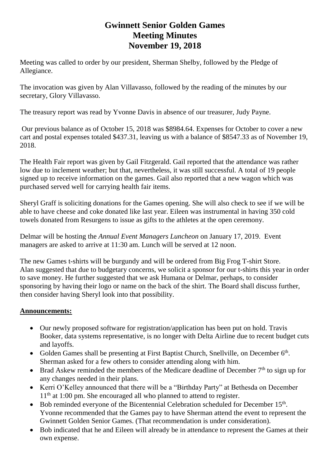## **Gwinnett Senior Golden Games Meeting Minutes November 19, 2018**

Meeting was called to order by our president, Sherman Shelby, followed by the Pledge of Allegiance.

The invocation was given by Alan Villavasso, followed by the reading of the minutes by our secretary, Glory Villavasso.

The treasury report was read by Yvonne Davis in absence of our treasurer, Judy Payne.

Our previous balance as of October 15, 2018 was \$8984.64. Expenses for October to cover a new cart and postal expenses totaled \$437.31, leaving us with a balance of \$8547.33 as of November 19, 2018.

The Health Fair report was given by Gail Fitzgerald. Gail reported that the attendance was rather low due to inclement weather; but that, nevertheless, it was still successful. A total of 19 people signed up to receive information on the games. Gail also reported that a new wagon which was purchased served well for carrying health fair items.

Sheryl Graff is soliciting donations for the Games opening. She will also check to see if we will be able to have cheese and coke donated like last year. Eileen was instrumental in having 350 cold towels donated from Resurgens to issue as gifts to the athletes at the open ceremony.

Delmar will be hosting the *Annual Event Managers Luncheon* on January 17, 2019. Event managers are asked to arrive at 11:30 am. Lunch will be served at 12 noon.

The new Games t-shirts will be burgundy and will be ordered from Big Frog T-shirt Store. Alan suggested that due to budgetary concerns, we solicit a sponsor for our t-shirts this year in order to save money. He further suggested that we ask Humana or Delmar, perhaps, to consider sponsoring by having their logo or name on the back of the shirt. The Board shall discuss further, then consider having Sheryl look into that possibility.

## **Announcements:**

- Our newly proposed software for registration/application has been put on hold. Travis Booker, data systems representative, is no longer with Delta Airline due to recent budget cuts and layoffs.
- Golden Games shall be presenting at First Baptist Church, Snellville, on December 6<sup>th</sup>. Sherman asked for a few others to consider attending along with him.
- Brad Askew reminded the members of the Medicare deadline of December  $7<sup>th</sup>$  to sign up for any changes needed in their plans.
- Kerri O'Kelley announced that there will be a "Birthday Party" at Bethesda on December 11<sup>th</sup> at 1:00 pm. She encouraged all who planned to attend to register.
- Bob reminded everyone of the Bicentennial Celebration scheduled for December 15<sup>th</sup>. Yvonne recommended that the Games pay to have Sherman attend the event to represent the Gwinnett Golden Senior Games. (That recommendation is under consideration).
- Bob indicated that he and Eileen will already be in attendance to represent the Games at their own expense.